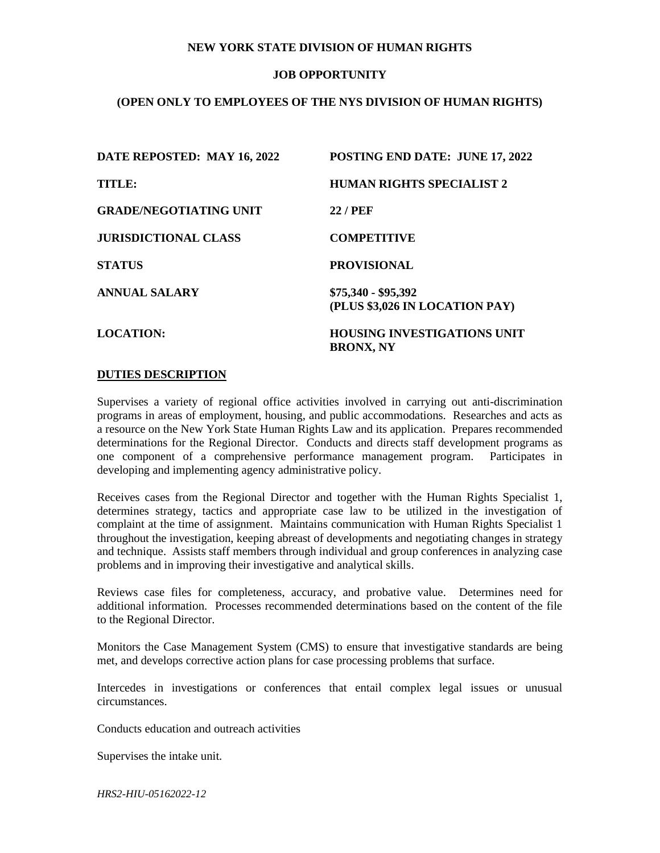## **NEW YORK STATE DIVISION OF HUMAN RIGHTS**

# **JOB OPPORTUNITY**

# **(OPEN ONLY TO EMPLOYEES OF THE NYS DIVISION OF HUMAN RIGHTS)**

| DATE REPOSTED: MAY 16, 2022   | POSTING END DATE: JUNE 17, 2022                        |
|-------------------------------|--------------------------------------------------------|
| <b>TITLE:</b>                 | <b>HUMAN RIGHTS SPECIALIST 2</b>                       |
| <b>GRADE/NEGOTIATING UNIT</b> | <b>22 / PEF</b>                                        |
| <b>JURISDICTIONAL CLASS</b>   | <b>COMPETITIVE</b>                                     |
| <b>STATUS</b>                 | <b>PROVISIONAL</b>                                     |
| <b>ANNUAL SALARY</b>          | \$75,340 - \$95,392<br>(PLUS \$3,026 IN LOCATION PAY)  |
| <b>LOCATION:</b>              | <b>HOUSING INVESTIGATIONS UNIT</b><br><b>BRONX, NY</b> |

#### **DUTIES DESCRIPTION**

Supervises a variety of regional office activities involved in carrying out anti-discrimination programs in areas of employment, housing, and public accommodations. Researches and acts as a resource on the New York State Human Rights Law and its application. Prepares recommended determinations for the Regional Director. Conducts and directs staff development programs as one component of a comprehensive performance management program. Participates in developing and implementing agency administrative policy.

Receives cases from the Regional Director and together with the Human Rights Specialist 1, determines strategy, tactics and appropriate case law to be utilized in the investigation of complaint at the time of assignment. Maintains communication with Human Rights Specialist 1 throughout the investigation, keeping abreast of developments and negotiating changes in strategy and technique. Assists staff members through individual and group conferences in analyzing case problems and in improving their investigative and analytical skills.

Reviews case files for completeness, accuracy, and probative value. Determines need for additional information. Processes recommended determinations based on the content of the file to the Regional Director.

Monitors the Case Management System (CMS) to ensure that investigative standards are being met, and develops corrective action plans for case processing problems that surface.

Intercedes in investigations or conferences that entail complex legal issues or unusual circumstances.

Conducts education and outreach activities

Supervises the intake unit.

*HRS2-HIU-05162022-12*